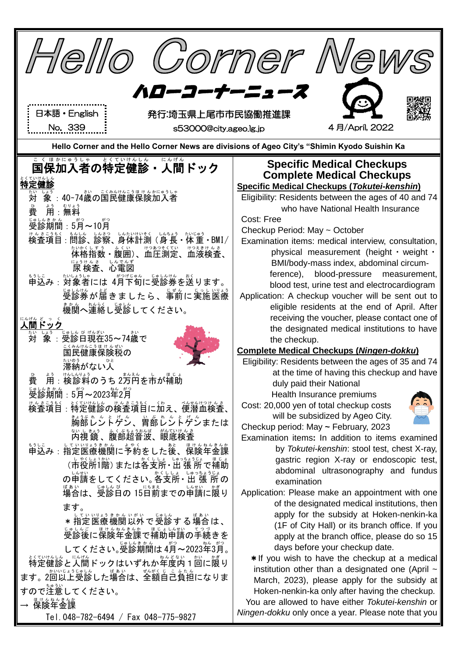| Corner New<br>1 <i>e116</i>                                                                             |                                                                                                                            |
|---------------------------------------------------------------------------------------------------------|----------------------------------------------------------------------------------------------------------------------------|
| ハローコーナー                                                                                                 |                                                                                                                            |
| 日本語・English<br>発行:埼玉県上尾市市民協働推進課                                                                         |                                                                                                                            |
| No. 339<br>s53000@city.ageo.lg.jp                                                                       | 4月/April, 2022                                                                                                             |
| Hello Corner and the Hello Corner News are divisions of Ageo City's "Shimin Kyodo Suishin Ka            |                                                                                                                            |
| こく ほかにゅうしゃ<br>とくていけんしん<br>にんげん<br>国保加入者の特定健診・人間ドック<br>特定健診                                              | <b>Specific Medical Checkups</b><br><b>Complete Medical Checkups</b><br><b>Specific Medical Checkups (Tokutei-kenshin)</b> |
| : 40~74歳の国民健康保険加入者<br>対                                                                                 | Eligibility: Residents between the ages of 40 and 74                                                                       |
| 費<br>用:無料                                                                                               | who have National Health Insurance                                                                                         |
| 受診期間:5月~10月                                                                                             | Cost: Free                                                                                                                 |
| - 前診、診察、身体計測 (身長・体重・BMI/<br>検査項目 :                                                                      | Checkup Period: May ~ October<br>Examination items: medical interview, consultation,                                       |
| ないなくしまう まくい けつあつもくてい けつえきけんさ<br>体格指数・腹囲)、血圧測定、血液検査、                                                     | physical measurement (height · weight ·                                                                                    |
| 尿 検査、心電図                                                                                                | BMI/body-mass index, abdominal circum-                                                                                     |
| もしこ  ないじい。<br>申込み : 対象者には 4月下旬に受診券を送ります。                                                                | ference), blood-pressure measurement,                                                                                      |
| ………<br>受診券が届きましたら、事前に実施医療                                                                               | blood test, urine test and electrocardiogram<br>Application: A checkup voucher will be sent out to                         |
| 。<br>機関へ連絡し受診してください。                                                                                    | eligible residents at the end of April. After                                                                              |
|                                                                                                         | receiving the voucher, please contact one of                                                                               |
| 対                                                                                                       | the designated medical institutions to have<br>the checkup.                                                                |
| ミンネルなこうほけんぜい<br>国民健康保険税の                                                                                | <b>Complete Medical Checkups (Ningen-dokku)</b>                                                                            |
| 滞納がない人                                                                                                  | Eligibility: Residents between the ages of 35 and 74                                                                       |
| まんえん<br>よう<br>費<br>用:検診料のうち 2万円を市が補助                                                                    | at the time of having this checkup and have                                                                                |
| 。<br>受診期間:5月~2023年2月<br>ねん がつ                                                                           | duly paid their National<br>Health Insurance premiums                                                                      |
| はなきつもく、とくにはいる。 はんきょうもく にんしょうせい こうもく きょうせい ちょうせい じゅうしょう きょうりょう しんきょう しんきょう しんきょう しんきょう しんきょう しんきょう しんきょう | Cost: 20,000 yen of total checkup costs                                                                                    |
|                                                                                                         | will be subsidized by Ageo City.                                                                                           |
|                                                                                                         | Checkup period: May ~ February, 2023<br>Examination items: In addition to items examined                                   |
|                                                                                                         | by Tokutei-kenshin: stool test, chest X-ray,                                                                               |
| かくししょ しゅっちょうじょ<br>し やくしょ1かい<br>(市役所1階) または各支所・ 出 張 所 で補助                                                | gastric region X-ray or endoscopic test,                                                                                   |
| の申請をしてください。各支所・出張所の                                                                                     | abdominal ultrasonography and fundus                                                                                       |
| <sub>ばぁぃ</sub><br>場合は、受診日の 15日前までの申請に限り                                                                 | examination<br>Application: Please make an appointment with one                                                            |
| ます。                                                                                                     | of the designated medical institutions, then                                                                               |
| してい いりょうきかん いがい<br>じゅしん<br>ばあい<br>*指定医療機関以外で受診する場合は、                                                    | apply for the subsidy at Hoken-nenkin-ka                                                                                   |
| ……。<br>受診後に保険年金課で補助申請の手続きを                                                                              | (1F of City Hall) or its branch office. If you<br>apply at the branch office, please do so 15                              |
| してください。受診期間は4月~2023年3月。                                                                                 | days before your checkup date.                                                                                             |
| ☆☆☆☆☆ にんぱん ドックはいずれか年度内 1 回に襲り                                                                           | * If you wish to have the checkup at a medical                                                                             |
| ます。2回以上受診した場合は、全額自己負担になりま                                                                               | institution other than a designated one (April $\sim$                                                                      |
| すので注意してください。                                                                                            | March, 2023), please apply for the subsidy at<br>Hoken-nenkin-ka only after having the checkup.                            |
| はけんねんきんか<br>保険年金課                                                                                       | You are allowed to have either Tokutei-kenshin or                                                                          |
| Tel. 048-782-6494 / Fax 048-775-9827                                                                    | Ningen-dokku only once a year. Please note that you                                                                        |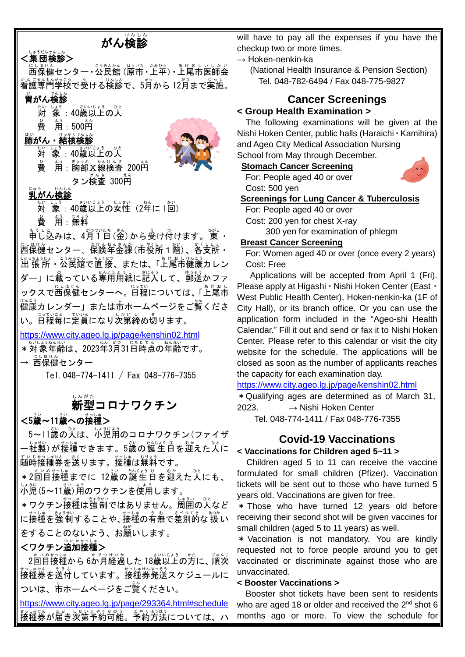# がん検診

## <集団検診>

にほけん<br>西保健センター • 公民館 (原市 • 上平) • 上尾市医師会 看護 かんご 専門 せんもん 学校 がっこう で受ける う 検診 けんしん で、5月 が つ から 12月 がつ まで実施 じっし 。

## 。<br>**胃がん検診**

- 。<br>対 象 :40歳以上の人
- 。<br>費 用:500円

#### はい<br>**肺がん・結核検診**

。<br>対 象:40歳以上の人  $\stackrel{\circ}{\bf g}$  甪:胸部X線検査 200円 タン検査 300A



### <u>。。。</u><br>乳がん検診

。<br>対 象:40歳以上の女性(2年に 1回) 。<br>費 用:無料

もぅしこ<br>申し込みは、4月1日(金)から受け付けます。 東 ・ □いましん。<br>西保健センター、保険年金課 (市役所1階) 、各支所・ しゅっちょうじょ こうみんかん ちょくせつ まいげんこう<br>出 張 所 ・公民館で直 接、または、「上尾市健康カレン ダー」に載っている専用用紙に記入して、<sup>ゅぅ€ぅ</sup><br>ダー」に載っている専用用紙に記入して、郵送かファ ックスで西保健センターへ。1558<br>マクスで西保健センターへ。日程については、「上尾市 。。。<br>健康カレンダー」または市ホームページをご覧くださ い。日程毎に定員になり次第締め切ります。

<https://www.city.ageo.lg.jp/page/kenshin02.html>

★いしょうねんれい<br>\*対象年齢は、2023年3月31日時点の年齢です。

**→ 西保健センター** 

Tel.048-774-1411 / Fax 048-776-7355

## <u>。。。。</u><br>新型コロナワクチン

### <5歳~11歳への接種> |

<u>5~11歳の次は、述説</u>詞のコロナワクチン(ファイザ ー社製)が接種できます。5歳の誕生日を迎えた人に <sub>ずいじまっぱけん。</sup><br>随時接種券を送ります。接種は無料です。</sub>

\*2回目接種までに 12歳の誕生日を迎えた人にも、 )、。<br>小児 (5~11歳) 角のワクチンを使用します。

\*ワクチン接種は強制ではありません。 周囲の人など に接種を強制することや、接種の有無で差別的な扱い をすることのないよう、お臘いします。

## <ワクチン追加接種> 』

2回自接種から 6が月経過した 18歳以上の方に、 順次 ま。<br>接種券を送付しています。接種券発送スケジュールに ついは、市ホームページをご覧ください。

<https://www.city.ageo.lg.jp/page/293364.html#schedule> <sub>おしばん</sub><br>接種券が届き次第予約可能。予約方法については、ハ

will have to pay all the expenses if you have the checkup two or more times.

 $\rightarrow$  Hoken-nenkin-ka

(National Health Insurance & Pension Section) Tel. 048-782-6494 / Fax 048-775-9827

## **Cancer Screenings**

#### **< Group Health Examination >**

The following examinations will be given at the Nishi Hoken Center, public halls (Haraichi・Kamihira) and Ageo City Medical Association Nursing

School from May through December.

#### **Stomach Cancer Screening**

For: People aged 40 or over Cost: 500 yen

**Screenings for Lung Cancer & Tuberculosis**

For: People aged 40 or over Cost: 200 yen for chest X-ray

300 yen for examination of phlegm

#### **Breast Cancer Screening**

For: Women aged 40 or over (once every 2 years) Cost: Free

Applications will be accepted from April 1 (Fri). Please apply at Higashi・Nishi Hoken Center (East・ West Public Health Center), Hoken-nenkin-ka (1F of City Hall), or its branch office. Or you can use the application form included in the "Ageo-shi Health Calendar." Fill it out and send or fax it to Nishi Hoken Center. Please refer to this calendar or visit the city website for the schedule. The applications will be closed as soon as the number of applicants reaches the capacity for each examination day.

<https://www.city.ageo.lg.jp/page/kenshin02.html>

\*Qualifying ages are determined as of March 31, 2023.  $\rightarrow$  Nishi Hoken Center

Tel. 048-774-1411 / Fax 048-776-7355

## **Covid-19 Vaccinations**

#### **< Vaccinations for Children aged 5~11 >**

Children aged 5 to 11 can receive the vaccine formulated for small children (Pfizer). Vaccination tickets will be sent out to those who have turned 5 years old. Vaccinations are given for free.

\* Those who have turned 12 years old before receiving their second shot will be given vaccines for small children (aged 5 to 11 years) as well.

\* Vaccination is not mandatory. You are kindly requested not to force people around you to get vaccinated or discriminate against those who are unvaccinated.

#### **< Booster Vaccinations >**

Booster shot tickets have been sent to residents who are aged 18 or older and received the 2<sup>nd</sup> shot 6 months ago or more. To view the schedule for

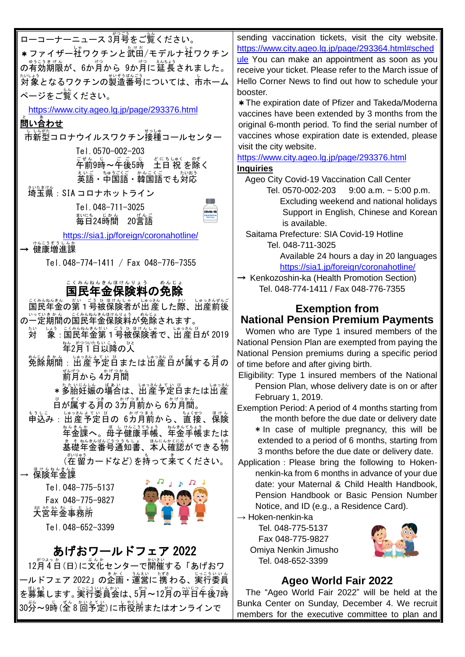ローコーナーニュース 3月号をご覧ください。 \* ファイザー社ワクチンと武田/モデルナ社ワクチン の有効期限が、6か月から 9か月に延長されました。 <sub>たいよう</sub><br>対象となるワクチンの製造番号については、市ホーム booster. ページをご覧 らん ください。 <https://www.city.ageo.lg.jp/page/293376.html> 問い合わせ と あ しいがた<br>市新型コロナウイルスワクチン接種コールセンター Tel.0570-002-203 こぜん。」<br>午前9時〜午後5時 土日 祝 を除く 英語 えいご ・中国語 ちゅうごくご ・韓国語 かんこくご でも対応 たいおう 埼玉県 さいたまけん :SIA コロナホットライン Tel.048-711-3025 まいに<u>ものじめん</u><br>毎日24時間 20言語 <https://sia1.jp/foreign/coronahotline/> → 健康増進課 Tel.048-774-1411 / Fax 048-776-7355 <u>゠</u>くぁんぁん≗んほけんりょう ◎んじょ<br>国民年金保険料の免除 こくみん ねんきん ほけんりょう ご殺戮をのに言う。既後は、ばっ談、出産前後 の一定期間の国民年金保険料が免除されます。 対 たい しょう : 1988年以上。<br>|**|家:国民年金第1号被保険者で、出産日が 2019** 年 ねん 2月 がつ 1 つい 日 たち 以降 いこう の人 ひと 免除 めんじょ 期間 きかん :出産 しゅっさん 予定 よてい 日 び または出産 しゅっさん 日 び が属する ぞく 月 つき の <sub>ぜんげっ</sub><br>前月から 4カ月間 \*多胎 たたい 妊娠 にんしん の場合 ばあい は、出産 しゅっさん 予定 よてい 日 び または出産 しゅっさん <u>び</u><br>百が属する月の 3カ月前から 6カ月間。 申込み もうしこ :出産 しゅっさん 予定 よてい 日 び の 6カ月前 かげつまえ から、直接 ちょくせつ 、保険 ほけん \*^\*^\*^。 ましゃいさい。 \*^\*^\*\*\*? ↓↓☆ ままねもんごううちしょ。 ほんにんかくにん<br>基礎年金番号通知書、本人確認ができる物 、\*i\'<sup>ゅぅ</sup><br>(在 留カードなど)を持って来てください。 — <sup>ほゖんねんきんか</sup> Tel.048-775-5137 Fax 048-775-9827 ……<br>大宮年金事務所 Tel.048-652-3399 あげおワールドフェア 2022 12月 がつ 4 よっ 日 か (日)に文化 ぶんか センターで開催 かいさい する「あげおワ ールドフェア 2022」の企画・運営に 携 わる、実行委員 を募集します。実行委員会は、5月~12月の平日午後7時

30分~9時(全8『山き』)に市役所またはオンラインで

sending vaccination tickets, visit the city website. [https://www.city.ageo.lg.jp/page/293364.html#sched](https://www.city.ageo.lg.jp/page/293364.html#schedule) [ule](https://www.city.ageo.lg.jp/page/293364.html#schedule) You can make an appointment as soon as you receive your ticket. Please refer to the March issue of Hello Corner News to find out how to schedule your

\*The expiration date of Pfizer and Takeda/Moderna vaccines have been extended by 3 months from the original 6-month period. To find the serial number of vaccines whose expiration date is extended, please visit the city website.

<https://www.city.ageo.lg.jp/page/293376.html> **Inquiries**

Ageo City Covid-19 Vaccination Call Center

- Tel. 0570-002-203 9:00 a.m. ~ 5:00 p.m. Excluding weekend and national holidays Support in English, Chinese and Korean is available.
- Saitama Prefecture: SIA Covid-19 Hotline Tel. 048-711-3025

Available 24 hours a day in 20 languages <https://sia1.jp/foreign/coronahotline/>

→ Kenkozoshin-ka (Health Promotion Section) Tel. 048-774-1411 / Fax 048-776-7355

#### **Exemption from National Pension Premium Payments**

Women who are Type 1 insured members of the National Pension Plan are exempted from paying the National Pension premiums during a specific period of time before and after giving birth.

Eligibility: Type 1 insured members of the National Pension Plan, whose delivery date is on or after February 1, 2019.

Exemption Period: A period of 4 months starting from the month before the due date or delivery date

\*In case of multiple pregnancy, this will be extended to a period of 6 months, starting from 3 months before the due date or delivery date.

Application: Please bring the following to Hokennenkin-ka from 6 months in advance of your due date: your Maternal & Child Health Handbook, Pension Handbook or Basic Pension Number Notice, and ID (e.g., a Residence Card).

 $\rightarrow$  Hoken-nenkin-ka

Tel. 048-775-5137 Fax 048-775-9827 Omiya Nenkin Jimusho Tel. 048-652-3399



#### **Ageo World Fair 2022**

 The "Ageo World Fair 2022" will be held at the Bunka Center on Sunday, December 4. We recruit members for the executive committee to plan and